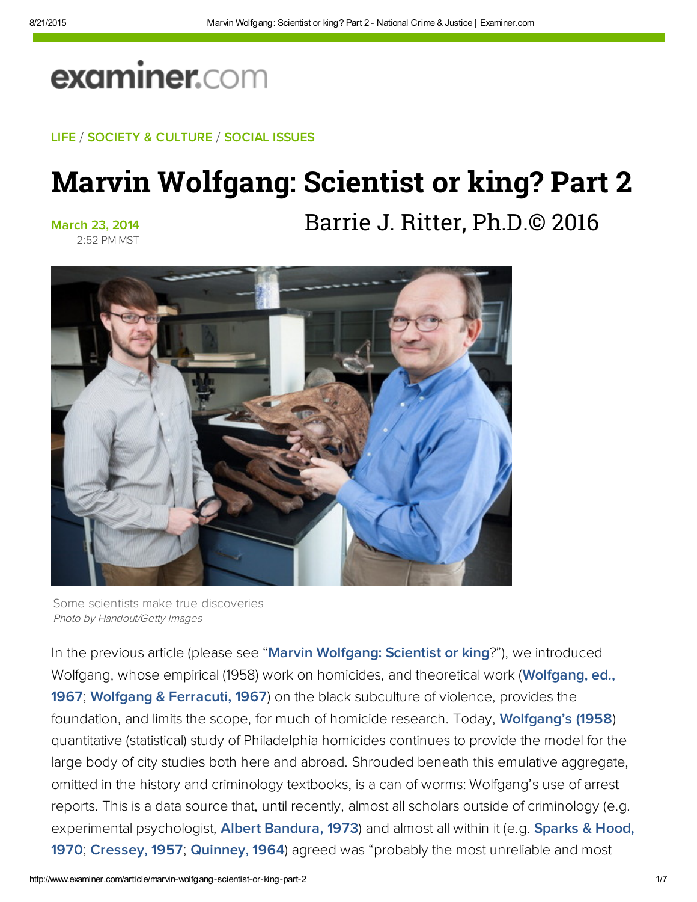# examiner.com

#### LIFE / SOCIETY & CULTURE / SOCIAL ISSUES

## Marvin Wolfgang: Scientist or king? Part 2

March 23, 2014 2:52 PM MST Barrie J. Ritter, Ph.D.© 2016



Some scientists make true discoveries Photo by Handout/Getty Images

In the previous article (please see "[Marvin Wolfgang: Scientist or king](http://www.ritterhomicideresearch.com/articles/Marvin-Wolfgang.pdf)?"), we introduced Wolfgang, whose empirical (1958) work on homicides, and theoretical work [\(Wolfgang, ed.,](http://bit.ly/1f7lY9r) 1967; [Wolfgang & Ferracuti, 1967\)](https://books.google.com/books/about/The_subculture_of_violence.html?id=U15HAAAAMAAJ) on the black subculture of violence, provides the foundation, and limits the scope, for much of homicide research. Today, **[Wolfgang's \(1958](http://bit.ly/1cCtuIg))** quantitative (statistical) study of Philadelphia homicides continues to provide the model for the large body of city studies both here and abroad. Shrouded beneath this emulative aggregate, omitted in the history and criminology textbooks, is a can of worms: Wolfgang's use of arrest reports. This is a data source that, until recently, almost all scholars outside of criminology (e.g. experimental psychologist, [Albert Bandura, 1973\)](http://bit.ly/1jhmLvD) and almost all within it (e.g. [Sparks & Hood,](https://books.google.com/books/about/Key_issues_in_criminology.html?id=wfdAAAAAIAAJ) 1970; [Cressey, 1957](http://bit.ly/OJCw0L); [Quinney, 1964](https://books.google.com/books?id=WiGvCgAAQBAJ&pg=PA315&dq=quinney+1964&hl=en&sa=X&ved=0ahUKEwiy-tOpuN7PAhUq1oMKHfNoBBIQ6AEIJjAC#v=onepage&q=quinney%201964&f=false)) agreed was "probably the most unreliable and most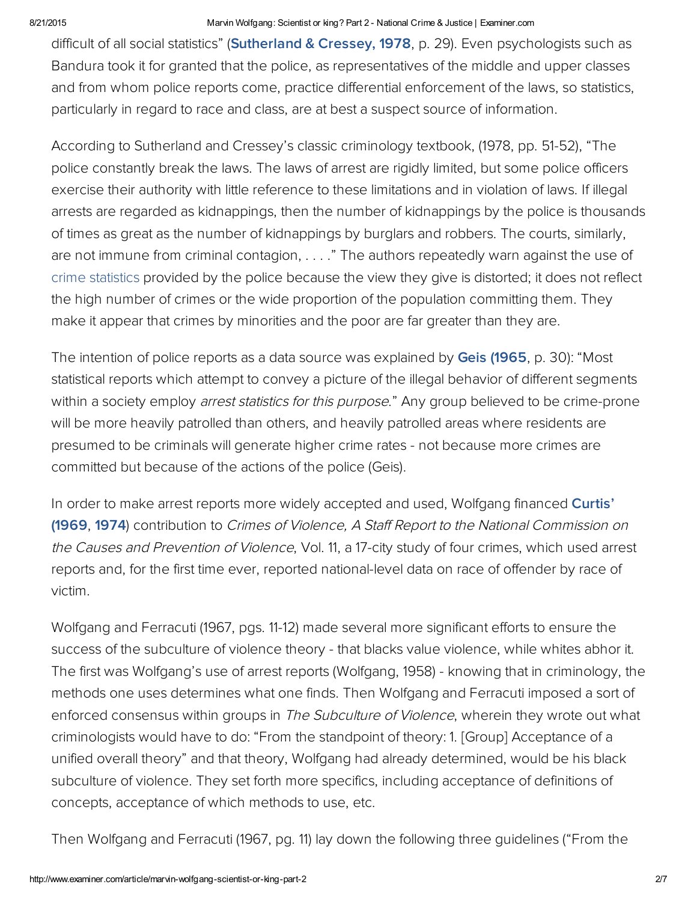#### 8/21/2015 Marvin Wolfgang: Scientist or king? Part 2 National Crime & Justice | Examiner.com

difficult of all social statistics" ([Sutherland](https://books.google.com/books?id=wqRQqXKuU7sC&printsec=frontcover&dq=sutherland+and+cressey+1978&hl=en&sa=X&ved=0ahUKEwjBkYqLud7PAhWJ6IMKHaR6CIcQ6AEIJTAA#v=onepage&q=sutherland%20and%20cressey%201978&f=false) & Cressey, 1978, p. 29). Even psychologists such as Bandura took it for granted that the police, as representatives of the middle and upper classes and from whom police reports come, practice differential enforcement of the laws, so statistics, particularly in regard to race and class, are at best a suspect source of information.

According to Sutherland and Cressey's classic criminology textbook, (1978, pp. 51-52), "The police constantly break the laws. The laws of arrest are rigidly limited, but some police officers exercise their authority with little reference to these limitations and in violation of laws. If illegal arrests are regarded as kidnappings, then the number of kidnappings by the police is thousands of times as great as the number of kidnappings by burglars and robbers. The courts, similarly, are not immune from criminal contagion, . . . . " The authors repeatedly warn against the use of crime statistics provided by the police because the view they give is distorted; it does not reflect the high number of crimes or the wide proportion of the population committing them. They make it appear that crimes by minorities and the poor are far greater than they are.

The intention of police reports as a data source was explained by Geis [\(1965](https://books.google.com/books?id=rVgaAAAAMAAJ&q=Geis+1965+crime+statistics&dq=Geis+1965+crime+statistics&hl=en&sa=X&ved=0ahUKEwjbtrKLut7PAhVn6YMKHXV5AtoQ6AEIIjAB), p. 30): "Most statistical reports which attempt to convey a picture of the illegal behavior of different segments within a society employ *arrest statistics for this purpose*." Any group believed to be crime-prone will be more heavily patrolled than others, and heavily patrolled areas where residents are presumed to be criminals will generate higher crime rates - not because more crimes are committed but because of the actions of the police (Geis).

In order to make arrest reports more widely accepted and used, Wolfgang financed [Curtis'](https://archive.org/details/crimesofviolence12mulvrich) (1969, 1974) contribution to Crimes of Violence, <sup>A</sup> Staff Report to the National Commission on the Causes and Prevention of Violence, Vol. 11, a 17-city study of four crimes, which used arrest reports and, for the first time ever, reported national-level data on race of offender by race of victim.

Wolfgang and Ferracuti (1967, pgs. 11-12) made several more significant efforts to ensure the success of the subculture of violence theory - that blacks value violence, while whites abhor it. The first was Wolfgang's use of arrest reports (Wolfgang, 1958) - knowing that in criminology, the methods one uses determines what one finds. Then Wolfgang and Ferracuti imposed a sort of enforced consensus within groups in The Subculture of Violence, wherein they wrote out what criminologists would have to do: "From the standpoint of theory: 1. [Group] Acceptance of a unified overall theory" and that theory, Wolfgang had already determined, would be his black subculture of violence. They set forth more specifics, including acceptance of definitions of concepts, acceptance of which methods to use, etc.

Then Wolfgang and Ferracuti (1967, pg. 11) lay down the following three guidelines ("From the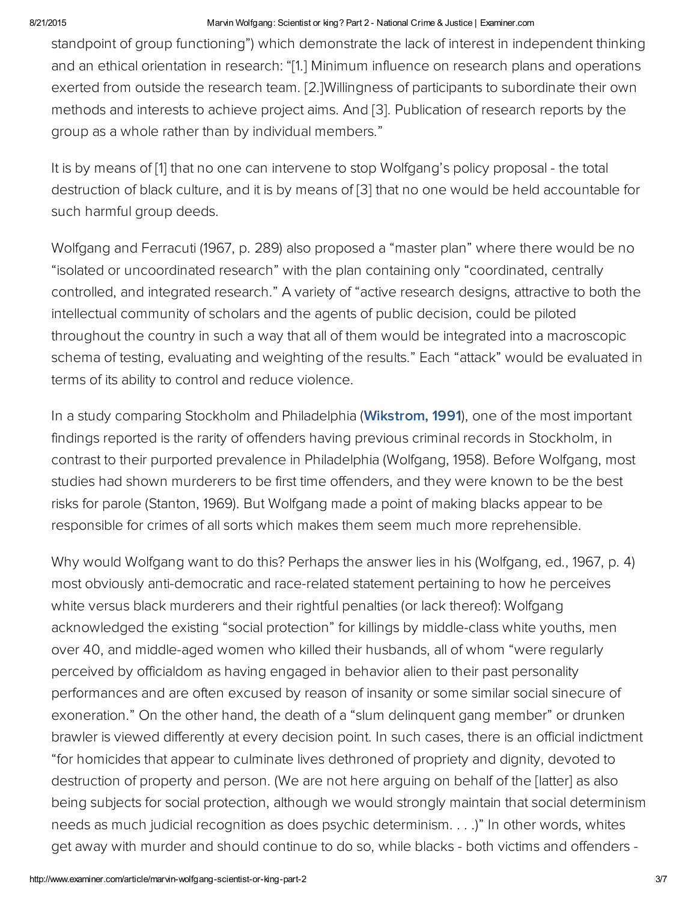#### 8/21/2015 Marvin Wolfgang: Scientist or king? Part 2 National Crime & Justice | Examiner.com

standpoint of group functioning") which demonstrate the lack of interest in independent thinking and an ethical orientation in research: "[1.] Minimum influence on research plans and operations exerted from outside the research team. [2.]Willingness of participants to subordinate their own methods and interests to achieve project aims. And [3]. Publication of research reports by the group as a whole rather than by individual members."

It is by means of [1] that no one can intervene to stop Wolfgang's policy proposal - the total destruction of black culture, and it is by means of [3] that no one would be held accountable for such harmful group deeds.

Wolfgang and Ferracuti (1967, p. 289) also proposed a "master plan" where there would be no "isolated or uncoordinated research" with the plan containing only "coordinated, centrally controlled, and integrated research." A variety of "active research designs, attractive to both the intellectual community of scholars and the agents of public decision, could be piloted throughout the country in such a way that all of them would be integrated into a macroscopic schema of testing, evaluating and weighting of the results." Each "attack" would be evaluated in terms of its ability to control and reduce violence.

In a study comparing Stockholm and Philadelphia ([Wikstrom,](http://www.tandfonline.com/doi/abs/10.1080/0735648X.1991.9721439?journalCode=rjcj20) 1991), one of the most important findings reported is the rarity of offenders having previous criminal records in Stockholm, in contrast to their purported prevalence in Philadelphia (Wolfgang, 1958). Before Wolfgang, most studies had shown murderers to be first time offenders, and they were known to be the best risks for parole (Stanton, 1969). But Wolfgang made a point of making blacks appear to be responsible for crimes of all sorts which makes them seem much more reprehensible.

Why would Wolfgang want to do this? Perhaps the answer lies in his (Wolfgang, ed., 1967, p. 4) most obviously anti-democratic and race-related statement pertaining to how he perceives white versus black murderers and their rightful penalties (or lack thereof): Wolfgang acknowledged the existing "social protection" for killings by middle-class white youths, men over 40, and middle-aged women who killed their husbands, all of whom "were regularly perceived by officialdom as having engaged in behavior alien to their past personality performances and are often excused by reason of insanity or some similar social sinecure of exoneration." On the other hand, the death of a "slum delinquent gang member" or drunken brawler is viewed differently at every decision point. In such cases, there is an official indictment "for homicides that appear to culminate lives dethroned of propriety and dignity, devoted to destruction of property and person. (We are not here arguing on behalf of the [latter] as also being subjects for social protection, although we would strongly maintain that social determinism needs as much judicial recognition as does psychic determinism. . . .)" In other words, whites get away with murder and should continue to do so, while blacks - both victims and offenders -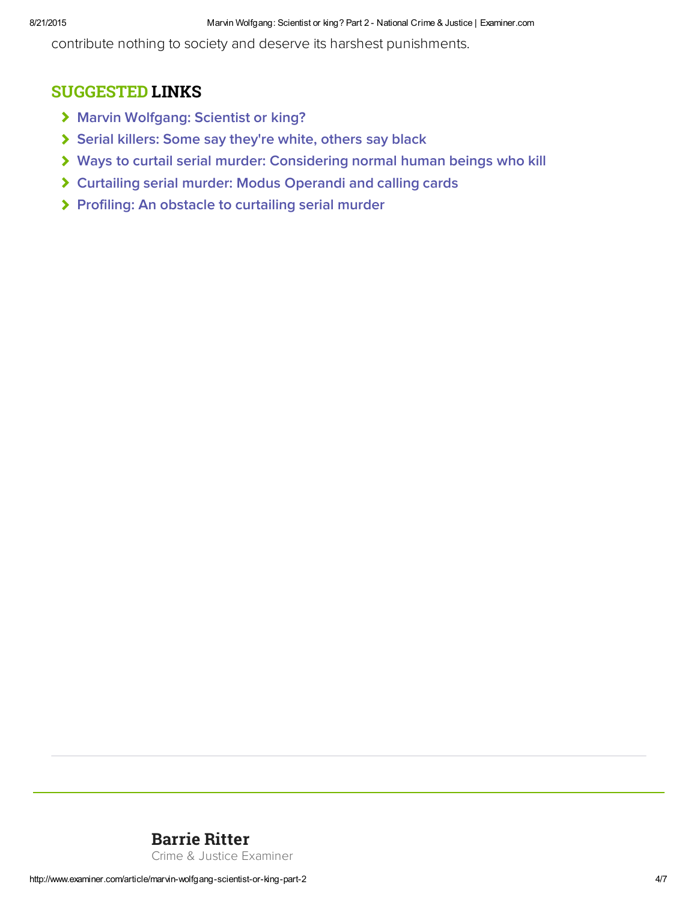contribute nothing to society and deserve its harshest punishments.

### SUGGESTED LINKS

- > [Marvin Wolfgang: Scientist or king?](http://www.ritterhomicideresearch.com/articles/Marvin-Wolfgang.pdf)
- [Serial killers: Some say they're white, others say black](http://www.ritterhomicideresearch.com/articles/Serial-killers_Some-say-white-others-say-black.pdf)
- [Ways to curtail serial murder: Considering normal human beings who kill](http://www.ritterhomicideresearch.com/articles/Ways-to-curtail-Serial-Murder_normal-humans-who-kill.pdf)
- [Curtailing serial murder: Modus Operandi and calling cards](http://www.ritterhomicideresearch.com/articles/Curtailing-Serial-Murder.pdf)
- > [Profiling: An obstacle to curtailing serial murder](http://www.ritterhomicideresearch.com/articles/Profiling_An-obstacle-to-curtailing-Serial-Murder.pdf)

### [Barrie Ritter](http://www.ritterhomicideresearch.com)

Crime & Justice Examiner